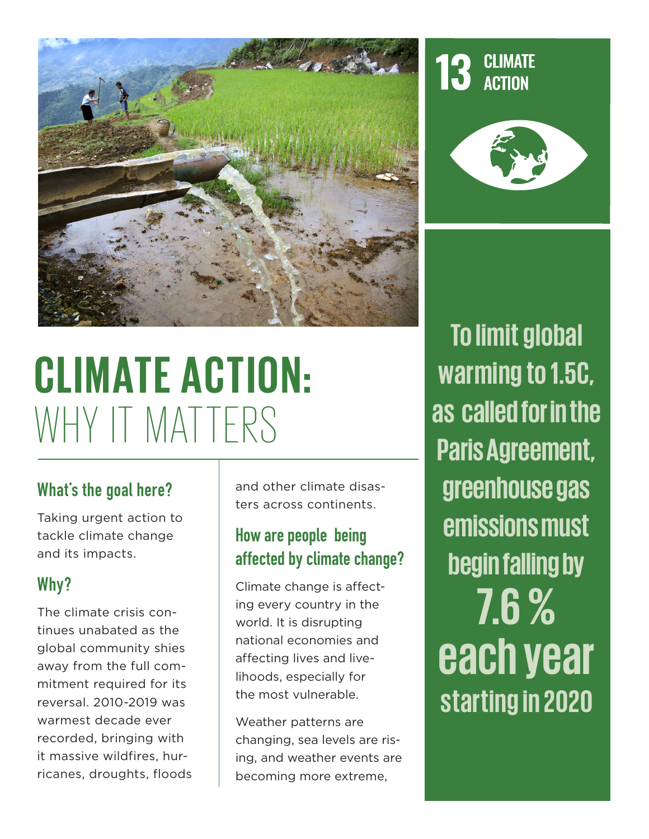

# **CLIMATE ACTION:**  WHY IT MATTERS

# What's the goal here?

Taking urgent action to tackle climate change and its impacts.

# Why?

The climate crisis continues unabated as the global community shies away from the full commitment required for its reversal. 2010-2019 was warmest decade ever recorded, bringing with it massive wildfires, hurricanes, droughts, floods and other climate disasters across continents.

# How are people being affected by climate change?

Climate change is affecting every country in the world. It is disrupting national economies and affecting lives and livelihoods, especially for the most vulnerable.

Weather patterns are changing, sea levels are rising, and weather events are becoming more extreme,

**To limit global warming to 1.5C, as called for in the Paris Agreement, greenhouse gas emissions must begin falling by 7.6 % each year starting in 2020**

**CLIMATE ACTION**